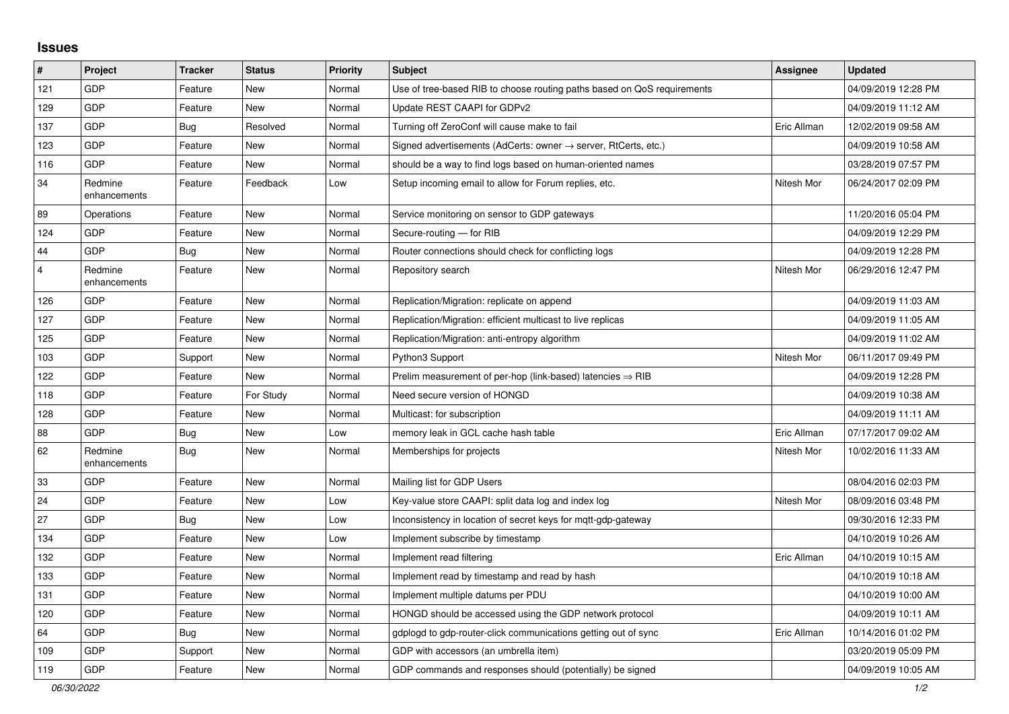## **Issues**

| #              | Project                 | <b>Tracker</b> | <b>Status</b> | <b>Priority</b> | <b>Subject</b>                                                          | Assignee    | <b>Updated</b>      |
|----------------|-------------------------|----------------|---------------|-----------------|-------------------------------------------------------------------------|-------------|---------------------|
| 121            | <b>GDP</b>              | Feature        | <b>New</b>    | Normal          | Use of tree-based RIB to choose routing paths based on QoS requirements |             | 04/09/2019 12:28 PM |
| 129            | GDP                     | Feature        | <b>New</b>    | Normal          | Update REST CAAPI for GDPv2                                             |             | 04/09/2019 11:12 AM |
| 137            | GDP                     | Bug            | Resolved      | Normal          | Turning off ZeroConf will cause make to fail                            | Eric Allman | 12/02/2019 09:58 AM |
| 123            | GDP                     | Feature        | <b>New</b>    | Normal          | Signed advertisements (AdCerts: owner → server, RtCerts, etc.)          |             | 04/09/2019 10:58 AM |
| 116            | GDP                     | Feature        | New           | Normal          | should be a way to find logs based on human-oriented names              |             | 03/28/2019 07:57 PM |
| 34             | Redmine<br>enhancements | Feature        | Feedback      | Low             | Setup incoming email to allow for Forum replies, etc.                   | Nitesh Mor  | 06/24/2017 02:09 PM |
| 89             | Operations              | Feature        | <b>New</b>    | Normal          | Service monitoring on sensor to GDP gateways                            |             | 11/20/2016 05:04 PM |
| 124            | GDP                     | Feature        | <b>New</b>    | Normal          | Secure-routing - for RIB                                                |             | 04/09/2019 12:29 PM |
| 44             | GDP                     | Bug            | <b>New</b>    | Normal          | Router connections should check for conflicting logs                    |             | 04/09/2019 12:28 PM |
| $\overline{4}$ | Redmine<br>enhancements | Feature        | New           | Normal          | Repository search                                                       | Nitesh Mor  | 06/29/2016 12:47 PM |
| 126            | GDP                     | Feature        | <b>New</b>    | Normal          | Replication/Migration: replicate on append                              |             | 04/09/2019 11:03 AM |
| 127            | GDP                     | Feature        | New           | Normal          | Replication/Migration: efficient multicast to live replicas             |             | 04/09/2019 11:05 AM |
| 125            | GDP                     | Feature        | <b>New</b>    | Normal          | Replication/Migration: anti-entropy algorithm                           |             | 04/09/2019 11:02 AM |
| 103            | GDP                     | Support        | New           | Normal          | Python3 Support                                                         | Nitesh Mor  | 06/11/2017 09:49 PM |
| 122            | GDP                     | Feature        | <b>New</b>    | Normal          | Prelim measurement of per-hop (link-based) latencies $\Rightarrow$ RIB  |             | 04/09/2019 12:28 PM |
| 118            | GDP                     | Feature        | For Study     | Normal          | Need secure version of HONGD                                            |             | 04/09/2019 10:38 AM |
| 128            | GDP                     | Feature        | <b>New</b>    | Normal          | Multicast: for subscription                                             |             | 04/09/2019 11:11 AM |
| 88             | GDP                     | <b>Bug</b>     | New           | Low             | memory leak in GCL cache hash table                                     | Eric Allman | 07/17/2017 09:02 AM |
| 62             | Redmine<br>enhancements | <b>Bug</b>     | New           | Normal          | Memberships for projects                                                | Nitesh Mor  | 10/02/2016 11:33 AM |
| 33             | GDP                     | Feature        | <b>New</b>    | Normal          | Mailing list for GDP Users                                              |             | 08/04/2016 02:03 PM |
| 24             | GDP                     | Feature        | New           | Low             | Key-value store CAAPI: split data log and index log                     | Nitesh Mor  | 08/09/2016 03:48 PM |
| 27             | GDP                     | Bug            | <b>New</b>    | Low             | Inconsistency in location of secret keys for mgtt-gdp-gateway           |             | 09/30/2016 12:33 PM |
| 134            | GDP                     | Feature        | <b>New</b>    | Low             | Implement subscribe by timestamp                                        |             | 04/10/2019 10:26 AM |
| 132            | GDP                     | Feature        | <b>New</b>    | Normal          | Implement read filtering                                                | Eric Allman | 04/10/2019 10:15 AM |
| 133            | GDP                     | Feature        | <b>New</b>    | Normal          | Implement read by timestamp and read by hash                            |             | 04/10/2019 10:18 AM |
| 131            | GDP                     | Feature        | <b>New</b>    | Normal          | Implement multiple datums per PDU                                       |             | 04/10/2019 10:00 AM |
| 120            | GDP                     | Feature        | <b>New</b>    | Normal          | HONGD should be accessed using the GDP network protocol                 |             | 04/09/2019 10:11 AM |
| 64             | GDP                     | Bug            | New           | Normal          | gdplogd to gdp-router-click communications getting out of sync          | Eric Allman | 10/14/2016 01:02 PM |
| 109            | GDP                     | Support        | <b>New</b>    | Normal          | GDP with accessors (an umbrella item)                                   |             | 03/20/2019 05:09 PM |
| 119            | GDP                     | Feature        | <b>New</b>    | Normal          | GDP commands and responses should (potentially) be signed               |             | 04/09/2019 10:05 AM |